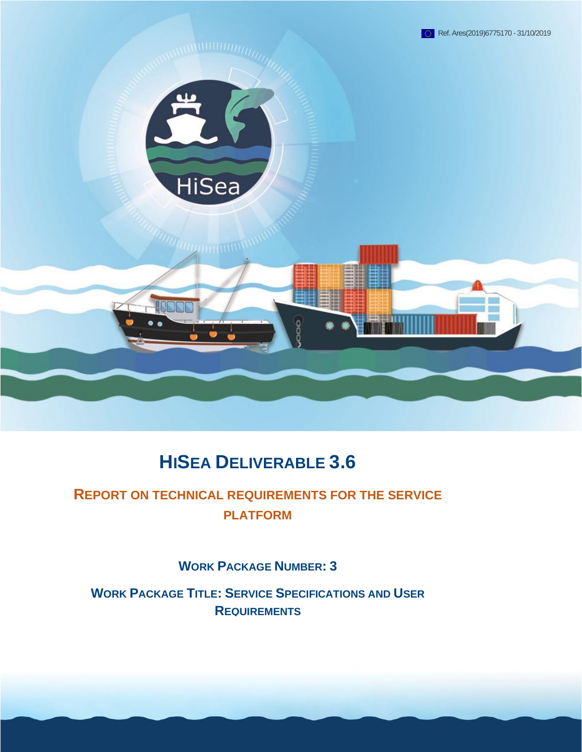

# **HISEA DELIVERABLE 3.6**

# **REPORT ON TECHNICAL REQUIREMENTS FOR THE SERVICE PLATFORM**

**WORK PACKAGE NUMBER: 3**

**WORK PACKAGE TITLE: SERVICE SPECIFICATIONS AND USER REQUIREMENTS**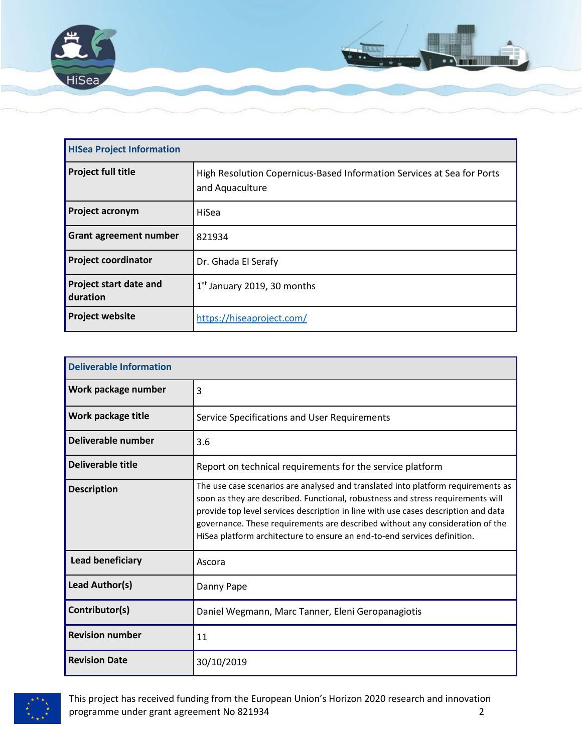

| <b>HISea Project Information</b>          |                                                                                           |  |  |
|-------------------------------------------|-------------------------------------------------------------------------------------------|--|--|
| <b>Project full title</b>                 | High Resolution Copernicus-Based Information Services at Sea for Ports<br>and Aquaculture |  |  |
| <b>Project acronym</b>                    | HiSea                                                                                     |  |  |
| <b>Grant agreement number</b>             | 821934                                                                                    |  |  |
| <b>Project coordinator</b>                | Dr. Ghada El Serafy                                                                       |  |  |
| <b>Project start date and</b><br>duration | $1st$ January 2019, 30 months                                                             |  |  |
| <b>Project website</b>                    | https://hiseaproject.com/                                                                 |  |  |

| <b>Deliverable Information</b> |                                                                                                                                                                                                                                                                                                                                                                                                                        |  |  |
|--------------------------------|------------------------------------------------------------------------------------------------------------------------------------------------------------------------------------------------------------------------------------------------------------------------------------------------------------------------------------------------------------------------------------------------------------------------|--|--|
| Work package number            | 3                                                                                                                                                                                                                                                                                                                                                                                                                      |  |  |
| Work package title             | Service Specifications and User Requirements                                                                                                                                                                                                                                                                                                                                                                           |  |  |
| Deliverable number             | 3.6                                                                                                                                                                                                                                                                                                                                                                                                                    |  |  |
| <b>Deliverable title</b>       | Report on technical requirements for the service platform                                                                                                                                                                                                                                                                                                                                                              |  |  |
| <b>Description</b>             | The use case scenarios are analysed and translated into platform requirements as<br>soon as they are described. Functional, robustness and stress requirements will<br>provide top level services description in line with use cases description and data<br>governance. These requirements are described without any consideration of the<br>HiSea platform architecture to ensure an end-to-end services definition. |  |  |
| <b>Lead beneficiary</b>        | Ascora                                                                                                                                                                                                                                                                                                                                                                                                                 |  |  |
| Lead Author(s)                 | Danny Pape                                                                                                                                                                                                                                                                                                                                                                                                             |  |  |
| Contributor(s)                 | Daniel Wegmann, Marc Tanner, Eleni Geropanagiotis                                                                                                                                                                                                                                                                                                                                                                      |  |  |
| <b>Revision number</b>         | 11                                                                                                                                                                                                                                                                                                                                                                                                                     |  |  |
| <b>Revision Date</b>           | 30/10/2019                                                                                                                                                                                                                                                                                                                                                                                                             |  |  |



This project has received funding from the European Union's Horizon 2020 research and innovation programme under grant agreement No 821934 2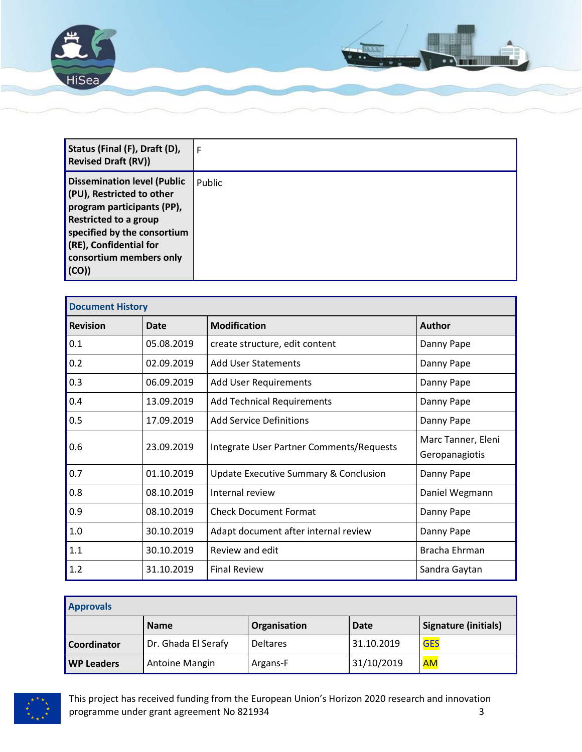

| Status (Final (F), Draft (D),<br><b>Revised Draft (RV))</b>                                                                                                                                                               | F             |
|---------------------------------------------------------------------------------------------------------------------------------------------------------------------------------------------------------------------------|---------------|
| <b>Dissemination level (Public</b><br>(PU), Restricted to other<br>program participants (PP),<br><b>Restricted to a group</b><br>specified by the consortium<br>(RE), Confidential for<br>consortium members only<br>(CO) | <b>Public</b> |

| <b>Document History</b> |            |                                          |                                      |  |
|-------------------------|------------|------------------------------------------|--------------------------------------|--|
| <b>Revision</b>         | Date       | <b>Modification</b>                      | <b>Author</b>                        |  |
| 0.1                     | 05.08.2019 | create structure, edit content           | Danny Pape                           |  |
| 0.2                     | 02.09.2019 | <b>Add User Statements</b>               | Danny Pape                           |  |
| 0.3                     | 06.09.2019 | <b>Add User Requirements</b>             | Danny Pape                           |  |
| 0.4                     | 13.09.2019 | <b>Add Technical Requirements</b>        | Danny Pape                           |  |
| 0.5                     | 17.09.2019 | <b>Add Service Definitions</b>           | Danny Pape                           |  |
| 0.6                     | 23.09.2019 | Integrate User Partner Comments/Requests | Marc Tanner, Eleni<br>Geropanagiotis |  |
| 0.7                     | 01.10.2019 | Update Executive Summary & Conclusion    | Danny Pape                           |  |
| 0.8                     | 08.10.2019 | Internal review                          | Daniel Wegmann                       |  |
| 0.9                     | 08.10.2019 | <b>Check Document Format</b>             | Danny Pape                           |  |
| 1.0                     | 30.10.2019 | Adapt document after internal review     | Danny Pape                           |  |
| 1.1                     | 30.10.2019 | Review and edit                          | Bracha Ehrman                        |  |
| 1.2                     | 31.10.2019 | <b>Final Review</b>                      | Sandra Gaytan                        |  |

| <b>Approvals</b>  |                     |                 |            |                             |  |
|-------------------|---------------------|-----------------|------------|-----------------------------|--|
|                   | <b>Name</b>         | Organisation    | Date       | <b>Signature (initials)</b> |  |
| Coordinator       | Dr. Ghada El Serafy | <b>Deltares</b> | 31.10.2019 | <b>GES</b>                  |  |
| <b>WP Leaders</b> | Antoine Mangin      | Argans-F        | 31/10/2019 | <b>AM</b>                   |  |

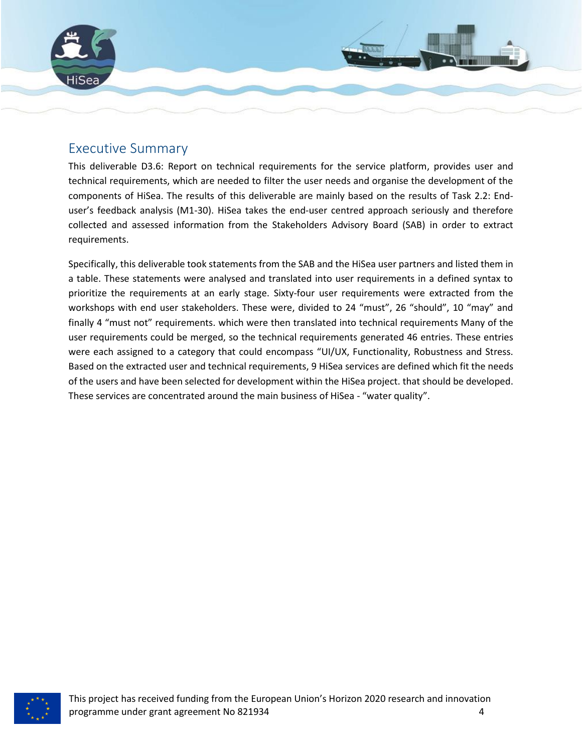

## <span id="page-3-0"></span>Executive Summary

This deliverable D3.6: Report on technical requirements for the service platform, provides user and technical requirements, which are needed to filter the user needs and organise the development of the components of HiSea. The results of this deliverable are mainly based on the results of Task 2.2: Enduser's feedback analysis (M1-30). HiSea takes the end-user centred approach seriously and therefore collected and assessed information from the Stakeholders Advisory Board (SAB) in order to extract requirements.

Specifically, this deliverable took statements from the SAB and the HiSea user partners and listed them in a table. These statements were analysed and translated into user requirements in a defined syntax to prioritize the requirements at an early stage. Sixty-four user requirements were extracted from the workshops with end user stakeholders. These were, divided to 24 "must", 26 "should", 10 "may" and finally 4 "must not" requirements. which were then translated into technical requirements Many of the user requirements could be merged, so the technical requirements generated 46 entries. These entries were each assigned to a category that could encompass "UI/UX, Functionality, Robustness and Stress. Based on the extracted user and technical requirements, 9 HiSea services are defined which fit the needs of the users and have been selected for development within the HiSea project. that should be developed. These services are concentrated around the main business of HiSea - "water quality".

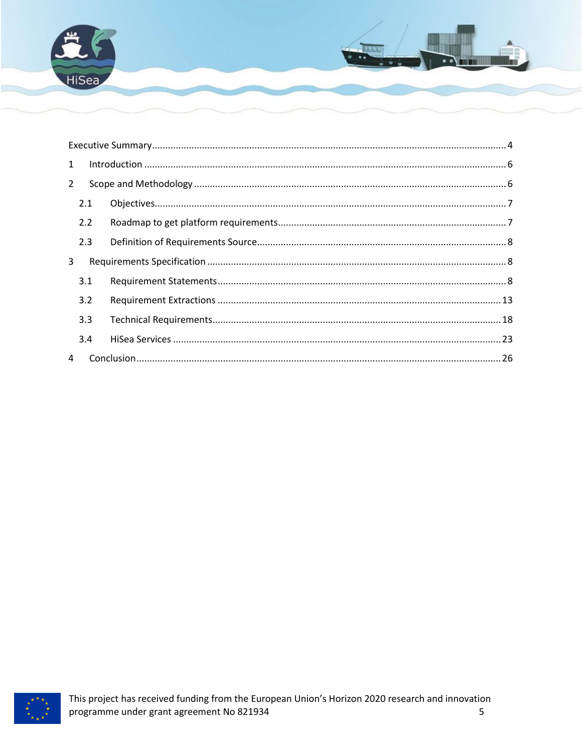

| $\mathbf{1}$   |     |  |  |  |
|----------------|-----|--|--|--|
| $\overline{2}$ |     |  |  |  |
|                | 2.1 |  |  |  |
|                | 2.2 |  |  |  |
|                | 2.3 |  |  |  |
| 3              |     |  |  |  |
|                | 3.1 |  |  |  |
|                | 3.2 |  |  |  |
|                | 3.3 |  |  |  |
|                | 3.4 |  |  |  |
| 4              |     |  |  |  |

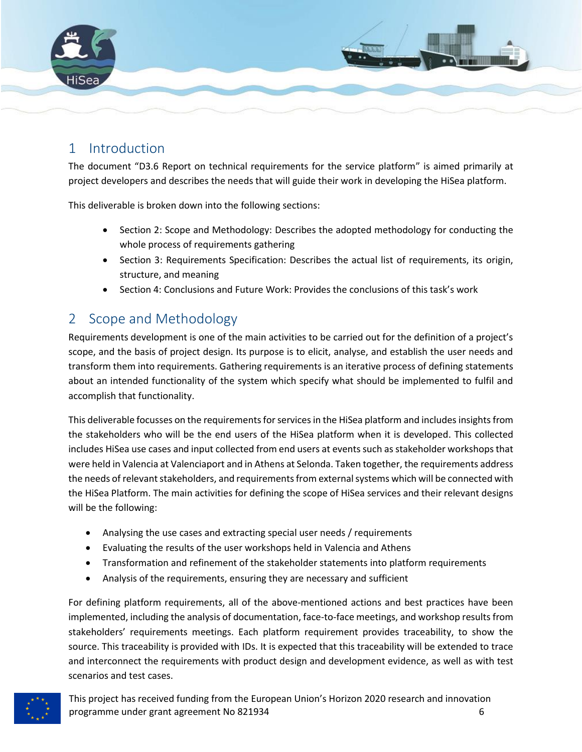

# <span id="page-5-0"></span>1 Introduction

The document "D3.6 Report on technical requirements for the service platform" is aimed primarily at project developers and describes the needs that will guide their work in developing the HiSea platform.

This deliverable is broken down into the following sections:

- Section 2: Scope and Methodology: Describes the adopted methodology for conducting the whole process of requirements gathering
- Section 3: Requirements Specification: Describes the actual list of requirements, its origin, structure, and meaning
- Section 4: Conclusions and Future Work: Provides the conclusions of this task's work

# <span id="page-5-1"></span>2 Scope and Methodology

Requirements development is one of the main activities to be carried out for the definition of a project's scope, and the basis of project design. Its purpose is to elicit, analyse, and establish the user needs and transform them into requirements. Gathering requirements is an iterative process of defining statements about an intended functionality of the system which specify what should be implemented to fulfil and accomplish that functionality.

This deliverable focusses on the requirements for services in the HiSea platform and includes insights from the stakeholders who will be the end users of the HiSea platform when it is developed. This collected includes HiSea use cases and input collected from end users at events such as stakeholder workshops that were held in Valencia at Valenciaport and in Athens at Selonda. Taken together, the requirements address the needs of relevant stakeholders, and requirements from external systems which will be connected with the HiSea Platform. The main activities for defining the scope of HiSea services and their relevant designs will be the following:

- Analysing the use cases and extracting special user needs / requirements
- Evaluating the results of the user workshops held in Valencia and Athens
- Transformation and refinement of the stakeholder statements into platform requirements
- Analysis of the requirements, ensuring they are necessary and sufficient

For defining platform requirements, all of the above-mentioned actions and best practices have been implemented, including the analysis of documentation, face-to-face meetings, and workshop results from stakeholders' requirements meetings. Each platform requirement provides traceability, to show the source. This traceability is provided with IDs. It is expected that this traceability will be extended to trace and interconnect the requirements with product design and development evidence, as well as with test scenarios and test cases.

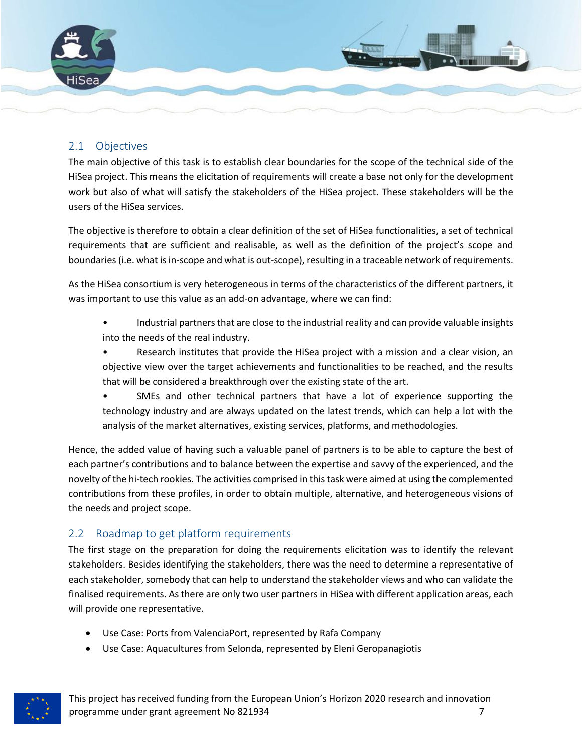

### <span id="page-6-0"></span>2.1 Objectives

The main objective of this task is to establish clear boundaries for the scope of the technical side of the HiSea project. This means the elicitation of requirements will create a base not only for the development work but also of what will satisfy the stakeholders of the HiSea project. These stakeholders will be the users of the HiSea services.

The objective is therefore to obtain a clear definition of the set of HiSea functionalities, a set of technical requirements that are sufficient and realisable, as well as the definition of the project's scope and boundaries (i.e. what is in-scope and what is out-scope), resulting in a traceable network of requirements.

As the HiSea consortium is very heterogeneous in terms of the characteristics of the different partners, it was important to use this value as an add-on advantage, where we can find:

- Industrial partners that are close to the industrial reality and can provide valuable insights into the needs of the real industry.
- Research institutes that provide the HiSea project with a mission and a clear vision, an objective view over the target achievements and functionalities to be reached, and the results that will be considered a breakthrough over the existing state of the art.
- SMEs and other technical partners that have a lot of experience supporting the technology industry and are always updated on the latest trends, which can help a lot with the analysis of the market alternatives, existing services, platforms, and methodologies.

Hence, the added value of having such a valuable panel of partners is to be able to capture the best of each partner's contributions and to balance between the expertise and savvy of the experienced, and the novelty of the hi-tech rookies. The activities comprised in this task were aimed at using the complemented contributions from these profiles, in order to obtain multiple, alternative, and heterogeneous visions of the needs and project scope.

## <span id="page-6-1"></span>2.2 Roadmap to get platform requirements

The first stage on the preparation for doing the requirements elicitation was to identify the relevant stakeholders. Besides identifying the stakeholders, there was the need to determine a representative of each stakeholder, somebody that can help to understand the stakeholder views and who can validate the finalised requirements. As there are only two user partners in HiSea with different application areas, each will provide one representative.

- Use Case: Ports from ValenciaPort, represented by Rafa Company
- Use Case: Aquacultures from Selonda, represented by Eleni Geropanagiotis



This project has received funding from the European Union's Horizon 2020 research and innovation programme under grant agreement No 821934 **7** and the state of the state of the state of the state of the state of the state of the state of the state of the state of the state of the state of the state of the state of the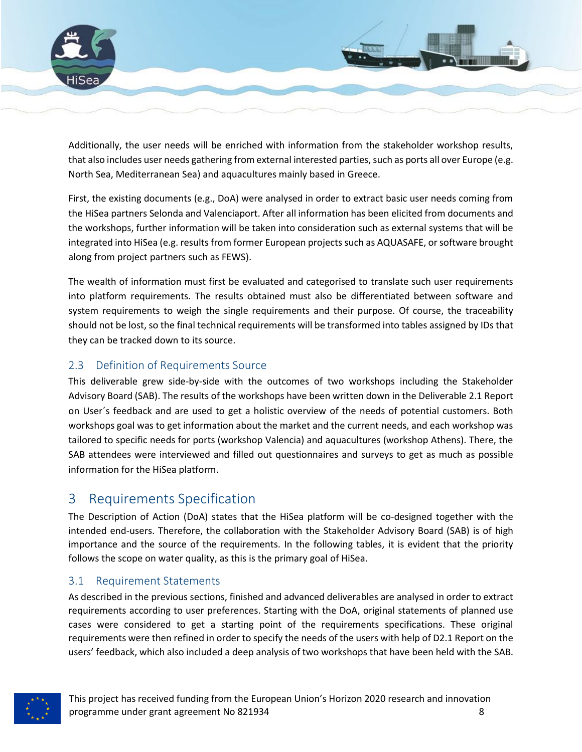

Additionally, the user needs will be enriched with information from the stakeholder workshop results, that also includes user needs gathering from external interested parties, such as ports all over Europe (e.g. North Sea, Mediterranean Sea) and aquacultures mainly based in Greece.

First, the existing documents (e.g., DoA) were analysed in order to extract basic user needs coming from the HiSea partners Selonda and Valenciaport. After all information has been elicited from documents and the workshops, further information will be taken into consideration such as external systems that will be integrated into HiSea (e.g. results from former European projects such as AQUASAFE, or software brought along from project partners such as FEWS).

The wealth of information must first be evaluated and categorised to translate such user requirements into platform requirements. The results obtained must also be differentiated between software and system requirements to weigh the single requirements and their purpose. Of course, the traceability should not be lost, so the final technical requirements will be transformed into tables assigned by IDs that they can be tracked down to its source.

## <span id="page-7-0"></span>2.3 Definition of Requirements Source

This deliverable grew side-by-side with the outcomes of two workshops including the Stakeholder Advisory Board (SAB). The results of the workshops have been written down in the Deliverable 2.1 Report on User´s feedback and are used to get a holistic overview of the needs of potential customers. Both workshops goal was to get information about the market and the current needs, and each workshop was tailored to specific needs for ports (workshop Valencia) and aquacultures (workshop Athens). There, the SAB attendees were interviewed and filled out questionnaires and surveys to get as much as possible information for the HiSea platform.

## <span id="page-7-1"></span>3 Requirements Specification

The Description of Action (DoA) states that the HiSea platform will be co-designed together with the intended end-users. Therefore, the collaboration with the Stakeholder Advisory Board (SAB) is of high importance and the source of the requirements. In the following tables, it is evident that the priority follows the scope on water quality, as this is the primary goal of HiSea.

## <span id="page-7-2"></span>3.1 Requirement Statements

As described in the previous sections, finished and advanced deliverables are analysed in order to extract requirements according to user preferences. Starting with the DoA, original statements of planned use cases were considered to get a starting point of the requirements specifications. These original requirements were then refined in order to specify the needs of the users with help of D2.1 Report on the users' feedback, which also included a deep analysis of two workshops that have been held with the SAB.

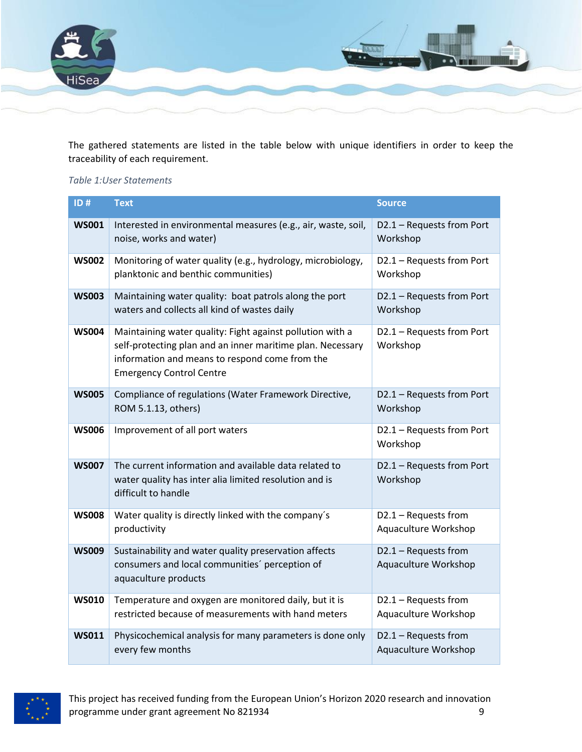

The gathered statements are listed in the table below with unique identifiers in order to keep the traceability of each requirement.

#### *Table 1:User Statements*

| ID#          | <b>Text</b>                                                                                                                                                                                                  | <b>Source</b>                                |
|--------------|--------------------------------------------------------------------------------------------------------------------------------------------------------------------------------------------------------------|----------------------------------------------|
| <b>WS001</b> | Interested in environmental measures (e.g., air, waste, soil,<br>noise, works and water)                                                                                                                     | D2.1 - Requests from Port<br>Workshop        |
| <b>WS002</b> | Monitoring of water quality (e.g., hydrology, microbiology,<br>planktonic and benthic communities)                                                                                                           | D2.1 - Requests from Port<br>Workshop        |
| <b>WS003</b> | Maintaining water quality: boat patrols along the port<br>waters and collects all kind of wastes daily                                                                                                       | D2.1 - Requests from Port<br>Workshop        |
| <b>WS004</b> | Maintaining water quality: Fight against pollution with a<br>self-protecting plan and an inner maritime plan. Necessary<br>information and means to respond come from the<br><b>Emergency Control Centre</b> | D2.1 - Requests from Port<br>Workshop        |
| <b>WS005</b> | Compliance of regulations (Water Framework Directive,<br>ROM 5.1.13, others)                                                                                                                                 | D2.1 - Requests from Port<br>Workshop        |
| <b>WS006</b> | Improvement of all port waters                                                                                                                                                                               | D2.1 - Requests from Port<br>Workshop        |
| <b>WS007</b> | The current information and available data related to<br>water quality has inter alia limited resolution and is<br>difficult to handle                                                                       | D2.1 - Requests from Port<br>Workshop        |
| <b>WS008</b> | Water quality is directly linked with the company's<br>productivity                                                                                                                                          | D2.1 - Requests from<br>Aquaculture Workshop |
| <b>WS009</b> | Sustainability and water quality preservation affects<br>consumers and local communities' perception of<br>aquaculture products                                                                              | D2.1 - Requests from<br>Aquaculture Workshop |
| <b>WS010</b> | Temperature and oxygen are monitored daily, but it is<br>restricted because of measurements with hand meters                                                                                                 | D2.1 - Requests from<br>Aquaculture Workshop |
| <b>WS011</b> | Physicochemical analysis for many parameters is done only<br>every few months                                                                                                                                | D2.1 - Requests from<br>Aquaculture Workshop |

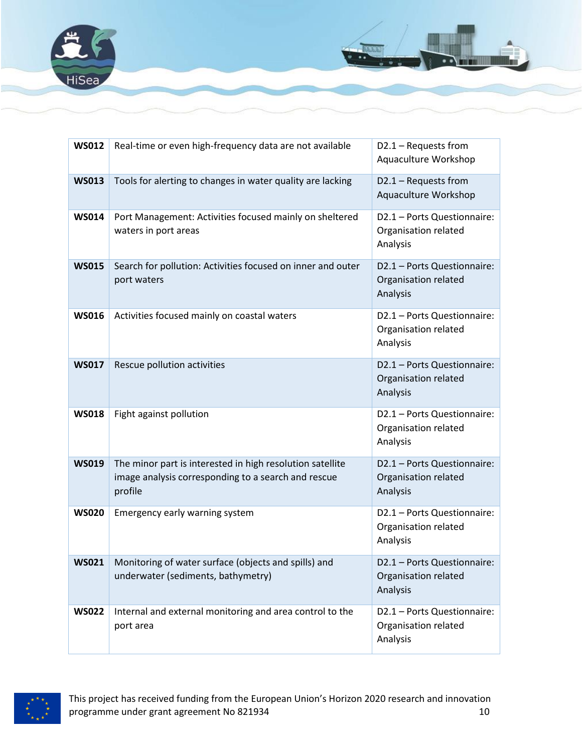





This project has received funding from the European Union's Horizon 2020 research and innovation programme under grant agreement No 821934 10 and the state of the state of the state of the state of the state of the state of the state of the state of the state of the state of the state of the state of the state of the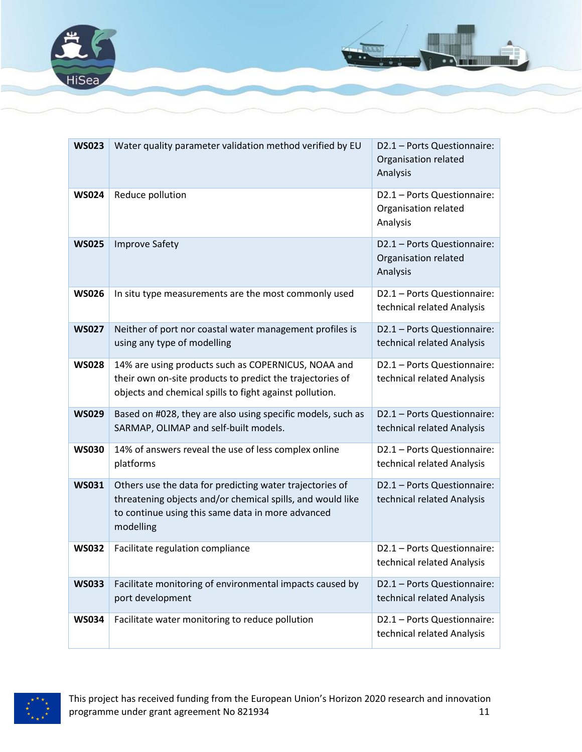



| <b>WS023</b> | Water quality parameter validation method verified by EU                                                                                                                                 | D2.1 - Ports Questionnaire:<br>Organisation related<br>Analysis |
|--------------|------------------------------------------------------------------------------------------------------------------------------------------------------------------------------------------|-----------------------------------------------------------------|
| <b>WS024</b> | Reduce pollution                                                                                                                                                                         | D2.1 - Ports Questionnaire:<br>Organisation related<br>Analysis |
| <b>WS025</b> | <b>Improve Safety</b>                                                                                                                                                                    | D2.1 - Ports Questionnaire:<br>Organisation related<br>Analysis |
| <b>WS026</b> | In situ type measurements are the most commonly used                                                                                                                                     | D2.1 - Ports Questionnaire:<br>technical related Analysis       |
| <b>WS027</b> | Neither of port nor coastal water management profiles is<br>using any type of modelling                                                                                                  | D2.1 - Ports Questionnaire:<br>technical related Analysis       |
| <b>WS028</b> | 14% are using products such as COPERNICUS, NOAA and<br>their own on-site products to predict the trajectories of<br>objects and chemical spills to fight against pollution.              | D2.1 - Ports Questionnaire:<br>technical related Analysis       |
| <b>WS029</b> | Based on #028, they are also using specific models, such as<br>SARMAP, OLIMAP and self-built models.                                                                                     | D2.1 - Ports Questionnaire:<br>technical related Analysis       |
| <b>WS030</b> | 14% of answers reveal the use of less complex online<br>platforms                                                                                                                        | D2.1 - Ports Questionnaire:<br>technical related Analysis       |
| <b>WS031</b> | Others use the data for predicting water trajectories of<br>threatening objects and/or chemical spills, and would like<br>to continue using this same data in more advanced<br>modelling | D2.1 - Ports Questionnaire:<br>technical related Analysis       |
| <b>WS032</b> | Facilitate regulation compliance                                                                                                                                                         | D2.1 - Ports Questionnaire:<br>technical related Analysis       |
| <b>WS033</b> | Facilitate monitoring of environmental impacts caused by<br>port development                                                                                                             | D2.1 - Ports Questionnaire:<br>technical related Analysis       |
| <b>WS034</b> | Facilitate water monitoring to reduce pollution                                                                                                                                          | D2.1 - Ports Questionnaire:<br>technical related Analysis       |

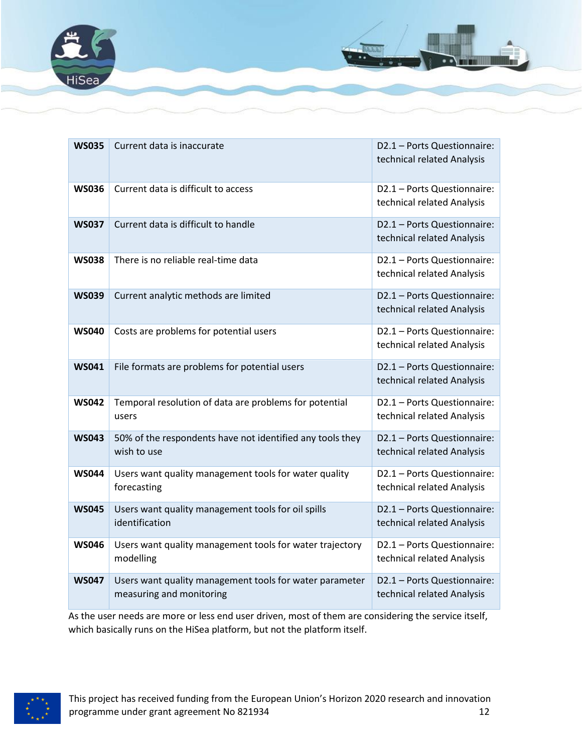



As the user needs are more or less end user driven, most of them are considering the service itself, which basically runs on the HiSea platform, but not the platform itself.

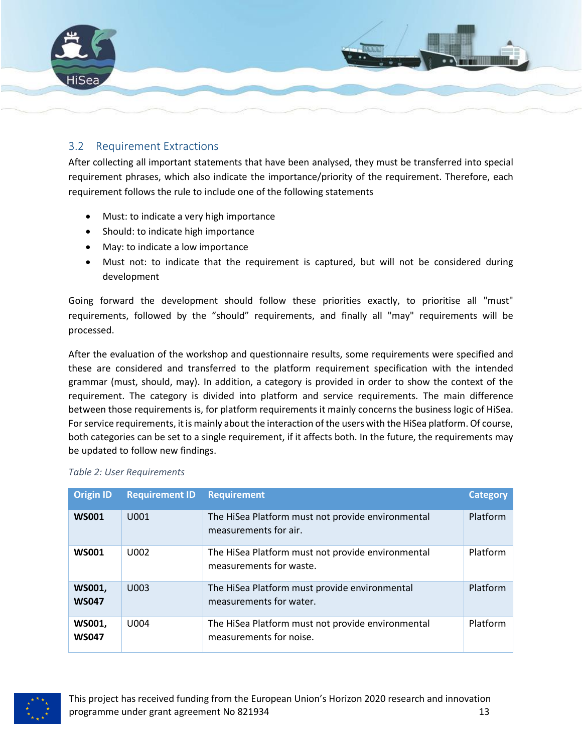

#### <span id="page-12-0"></span>3.2 Requirement Extractions

After collecting all important statements that have been analysed, they must be transferred into special requirement phrases, which also indicate the importance/priority of the requirement. Therefore, each requirement follows the rule to include one of the following statements

- Must: to indicate a very high importance
- Should: to indicate high importance
- May: to indicate a low importance
- Must not: to indicate that the requirement is captured, but will not be considered during development

Going forward the development should follow these priorities exactly, to prioritise all "must" requirements, followed by the "should" requirements, and finally all "may" requirements will be processed.

After the evaluation of the workshop and questionnaire results, some requirements were specified and these are considered and transferred to the platform requirement specification with the intended grammar (must, should, may). In addition, a category is provided in order to show the context of the requirement. The category is divided into platform and service requirements. The main difference between those requirements is, for platform requirements it mainly concerns the business logic of HiSea. For service requirements, it is mainly about the interaction of the users with the HiSea platform. Of course, both categories can be set to a single requirement, if it affects both. In the future, the requirements may be updated to follow new findings.

| <b>Origin ID</b>       | <b>Requirement ID</b> | <b>Requirement</b>                                                           | <b>Category</b> |
|------------------------|-----------------------|------------------------------------------------------------------------------|-----------------|
| <b>WS001</b>           | U001                  | The HiSea Platform must not provide environmental<br>measurements for air.   | Platform        |
| <b>WS001</b>           | U002                  | The HiSea Platform must not provide environmental<br>measurements for waste. | Platform        |
| WS001,<br><b>WS047</b> | U003                  | The HiSea Platform must provide environmental<br>measurements for water.     | Platform        |
| WS001,<br><b>WS047</b> | U004                  | The HiSea Platform must not provide environmental<br>measurements for noise. | Platform        |

#### *Table 2: User Requirements*

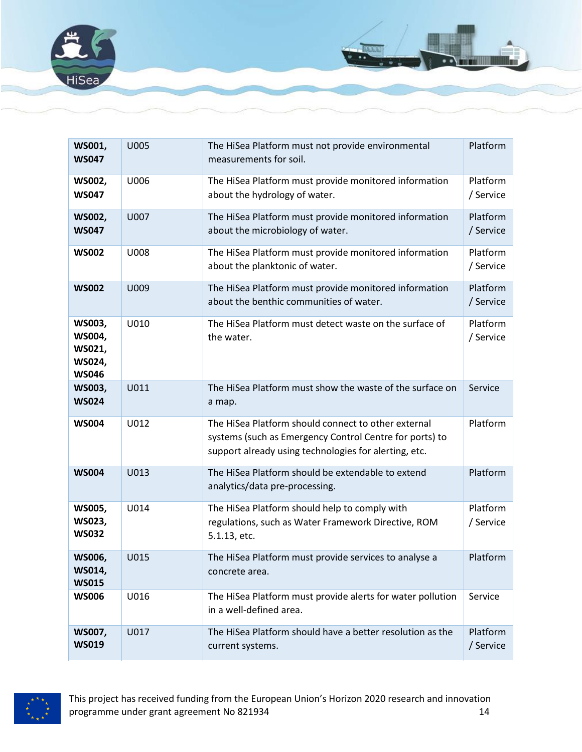

| WS001,<br><b>WS047</b>                               | <b>U005</b> | The HiSea Platform must not provide environmental<br>measurements for soil.                                                                                             |                       |
|------------------------------------------------------|-------------|-------------------------------------------------------------------------------------------------------------------------------------------------------------------------|-----------------------|
| WS002,<br><b>WS047</b>                               | U006        | The HiSea Platform must provide monitored information<br>about the hydrology of water.                                                                                  | Platform<br>/ Service |
| <b>WS002,</b><br><b>WS047</b>                        | U007        | The HiSea Platform must provide monitored information<br>about the microbiology of water.                                                                               | Platform<br>/ Service |
| <b>WS002</b>                                         | U008        | The HiSea Platform must provide monitored information<br>about the planktonic of water.                                                                                 | Platform<br>/ Service |
| <b>WS002</b>                                         | U009        | The HiSea Platform must provide monitored information<br>about the benthic communities of water.                                                                        | Platform<br>/ Service |
| WS003,<br>WS004,<br>WS021,<br>WS024,<br><b>WS046</b> | U010        | The HiSea Platform must detect waste on the surface of<br>the water.                                                                                                    | Platform<br>/ Service |
| WS003,<br><b>WS024</b>                               | U011        | The HiSea Platform must show the waste of the surface on<br>a map.                                                                                                      | Service               |
| <b>WS004</b>                                         | U012        | The HiSea Platform should connect to other external<br>systems (such as Emergency Control Centre for ports) to<br>support already using technologies for alerting, etc. | Platform              |
| <b>WS004</b>                                         | U013        | The HiSea Platform should be extendable to extend<br>analytics/data pre-processing.                                                                                     | Platform              |
| <b>WS005,</b><br>WS023,<br><b>WS032</b>              | U014        | The HiSea Platform should help to comply with<br>regulations, such as Water Framework Directive, ROM<br>5.1.13, etc.                                                    | Platform<br>/ Service |
| WS006,<br>WS014,<br><b>WS015</b>                     | U015        | The HiSea Platform must provide services to analyse a<br>concrete area.                                                                                                 | Platform              |
| <b>WS006</b>                                         | U016        | The HiSea Platform must provide alerts for water pollution<br>in a well-defined area.                                                                                   | Service               |
| <b>WS007,</b><br><b>WS019</b>                        | U017        | The HiSea Platform should have a better resolution as the<br>current systems.                                                                                           | Platform<br>/ Service |

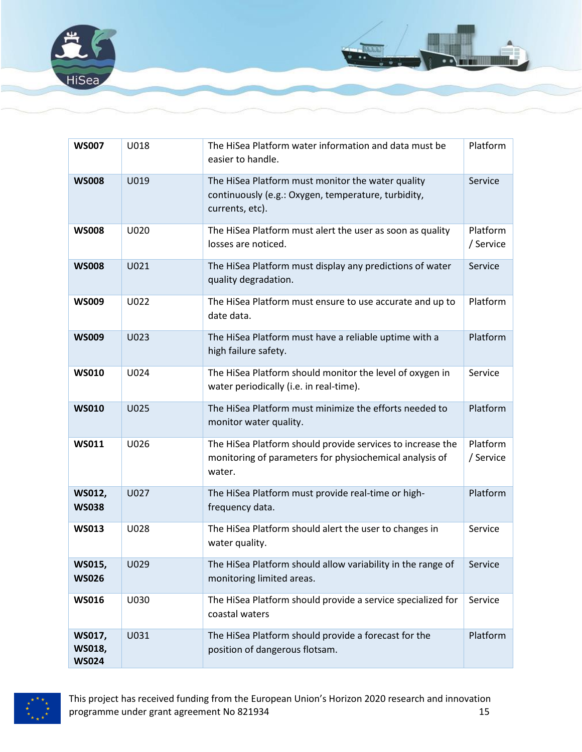

| <b>WS007</b>                            | U018 | The HiSea Platform water information and data must be<br>Platform<br>easier to handle.                                          |                       |
|-----------------------------------------|------|---------------------------------------------------------------------------------------------------------------------------------|-----------------------|
| <b>WS008</b>                            | U019 | The HiSea Platform must monitor the water quality<br>continuously (e.g.: Oxygen, temperature, turbidity,<br>currents, etc).     | Service               |
| <b>WS008</b>                            | U020 | The HiSea Platform must alert the user as soon as quality<br>losses are noticed.                                                | Platform<br>/ Service |
| <b>WS008</b>                            | U021 | The HiSea Platform must display any predictions of water<br>quality degradation.                                                | Service               |
| <b>WS009</b>                            | U022 | The HiSea Platform must ensure to use accurate and up to<br>date data.                                                          | Platform              |
| <b>WS009</b>                            | U023 | The HiSea Platform must have a reliable uptime with a<br>high failure safety.                                                   | Platform              |
| <b>WS010</b>                            | U024 | The HiSea Platform should monitor the level of oxygen in<br>water periodically (i.e. in real-time).                             | Service               |
| <b>WS010</b>                            | U025 | The HiSea Platform must minimize the efforts needed to<br>monitor water quality.                                                | Platform              |
| <b>WS011</b>                            | U026 | The HiSea Platform should provide services to increase the<br>monitoring of parameters for physiochemical analysis of<br>water. | Platform<br>/ Service |
| WS012,<br><b>WS038</b>                  | U027 | The HiSea Platform must provide real-time or high-<br>frequency data.                                                           | Platform              |
| <b>WS013</b>                            | U028 | The HiSea Platform should alert the user to changes in<br>water quality.                                                        | Service               |
| WS015,<br><b>WS026</b>                  | U029 | The HiSea Platform should allow variability in the range of $\Box$ Service<br>monitoring limited areas.                         |                       |
| <b>WS016</b>                            | U030 | The HiSea Platform should provide a service specialized for<br>coastal waters                                                   | Service               |
| WS017,<br><b>WS018,</b><br><b>WS024</b> | U031 | The HiSea Platform should provide a forecast for the<br>position of dangerous flotsam.                                          | Platform              |

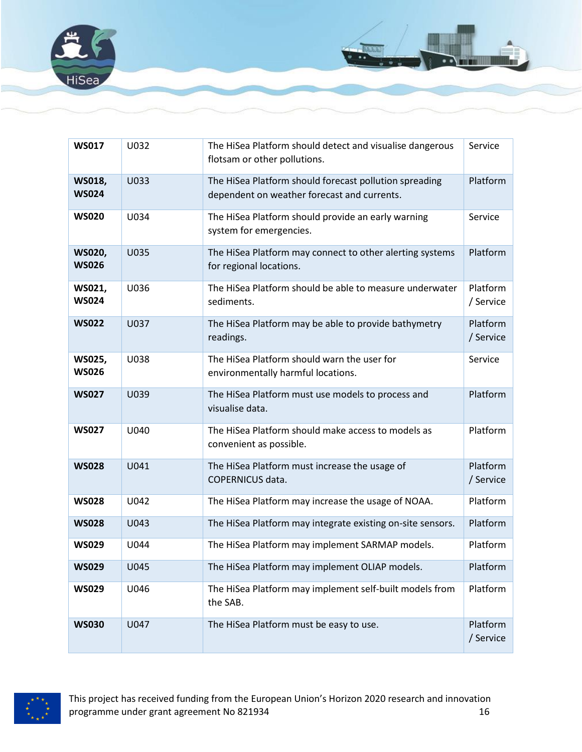

| <b>WS017</b>                  | U032        | The HiSea Platform should detect and visualise dangerous<br>Service<br>flotsam or other pollutions.   |                       |
|-------------------------------|-------------|-------------------------------------------------------------------------------------------------------|-----------------------|
| <b>WS018,</b><br><b>WS024</b> | U033        | The HiSea Platform should forecast pollution spreading<br>dependent on weather forecast and currents. | Platform              |
| <b>WS020</b>                  | U034        | The HiSea Platform should provide an early warning<br>system for emergencies.                         | Service               |
| <b>WS020,</b><br><b>WS026</b> | <b>U035</b> | The HiSea Platform may connect to other alerting systems<br>for regional locations.                   | Platform              |
| WS021,<br><b>WS024</b>        | U036        | The HiSea Platform should be able to measure underwater<br>sediments.                                 | Platform<br>/ Service |
| <b>WS022</b>                  | <b>U037</b> | The HiSea Platform may be able to provide bathymetry<br>readings.                                     | Platform<br>/ Service |
| WS025,<br><b>WS026</b>        | U038        | The HiSea Platform should warn the user for<br>environmentally harmful locations.                     | Service               |
| <b>WS027</b>                  | U039        | The HiSea Platform must use models to process and<br>visualise data.                                  | Platform              |
| <b>WS027</b>                  | U040        | The HiSea Platform should make access to models as<br>convenient as possible.                         | Platform              |
| <b>WS028</b>                  | U041        | The HiSea Platform must increase the usage of<br><b>COPERNICUS data.</b>                              | Platform<br>/ Service |
| <b>WS028</b>                  | U042        | The HiSea Platform may increase the usage of NOAA.                                                    | Platform              |
| <b>WS028</b>                  | U043        | The HiSea Platform may integrate existing on-site sensors.                                            | Platform              |
| <b>WS029</b>                  | U044        | The HiSea Platform may implement SARMAP models.                                                       | Platform              |
| <b>WS029</b>                  | U045        | The HiSea Platform may implement OLIAP models.                                                        | Platform              |
| <b>WS029</b>                  | U046        | The HiSea Platform may implement self-built models from<br>the SAB.                                   | Platform              |
| <b>WS030</b>                  | U047        | The HiSea Platform must be easy to use.                                                               | Platform<br>/ Service |

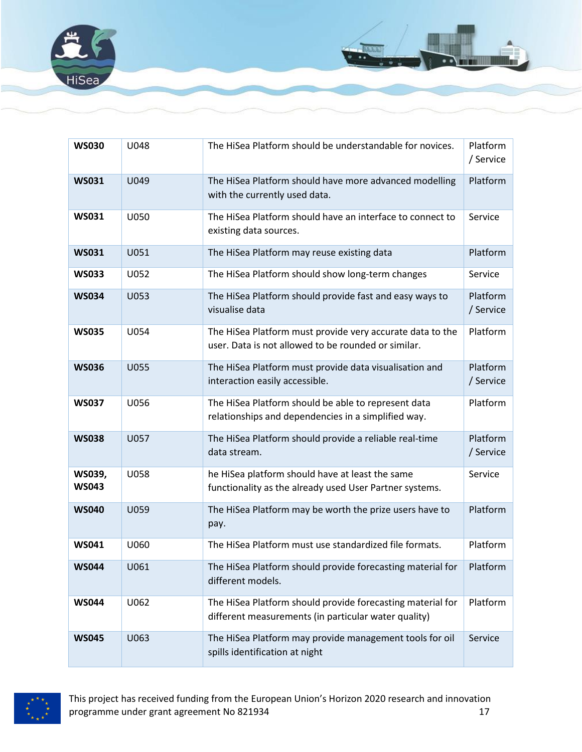

| <b>WS030</b>           | U048        | The HiSea Platform should be understandable for novices.                                                           | Platform<br>/ Service |
|------------------------|-------------|--------------------------------------------------------------------------------------------------------------------|-----------------------|
| <b>WS031</b>           | U049        | The HiSea Platform should have more advanced modelling<br>with the currently used data.                            | Platform              |
| <b>WS031</b>           | U050        | The HiSea Platform should have an interface to connect to<br>existing data sources.                                | Service               |
| <b>WS031</b>           | U051        | The HiSea Platform may reuse existing data                                                                         | Platform              |
| <b>WS033</b>           | U052        | The HiSea Platform should show long-term changes                                                                   | Service               |
| <b>WS034</b>           | U053        | The HiSea Platform should provide fast and easy ways to<br>visualise data                                          | Platform<br>/ Service |
| <b>WS035</b>           | U054        | The HiSea Platform must provide very accurate data to the<br>user. Data is not allowed to be rounded or similar.   | Platform              |
| <b>WS036</b>           | <b>U055</b> | The HiSea Platform must provide data visualisation and<br>interaction easily accessible.                           | Platform<br>/ Service |
| <b>WS037</b>           | U056        | The HiSea Platform should be able to represent data<br>relationships and dependencies in a simplified way.         | Platform              |
| <b>WS038</b>           | U057        | The HiSea Platform should provide a reliable real-time<br>data stream.                                             | Platform<br>/ Service |
| WS039,<br><b>WS043</b> | U058        | he HiSea platform should have at least the same<br>functionality as the already used User Partner systems.         | Service               |
| <b>WS040</b>           | U059        | The HiSea Platform may be worth the prize users have to<br>pay.                                                    | Platform              |
| <b>WS041</b>           | U060        | The HiSea Platform must use standardized file formats.                                                             | Platform              |
| <b>WS044</b>           | U061        | The HiSea Platform should provide forecasting material for<br>different models.                                    | Platform              |
| <b>WS044</b>           | U062        | The HiSea Platform should provide forecasting material for<br>different measurements (in particular water quality) | Platform              |
| <b>WS045</b>           | U063        | The HiSea Platform may provide management tools for oil<br>spills identification at night                          | Service               |

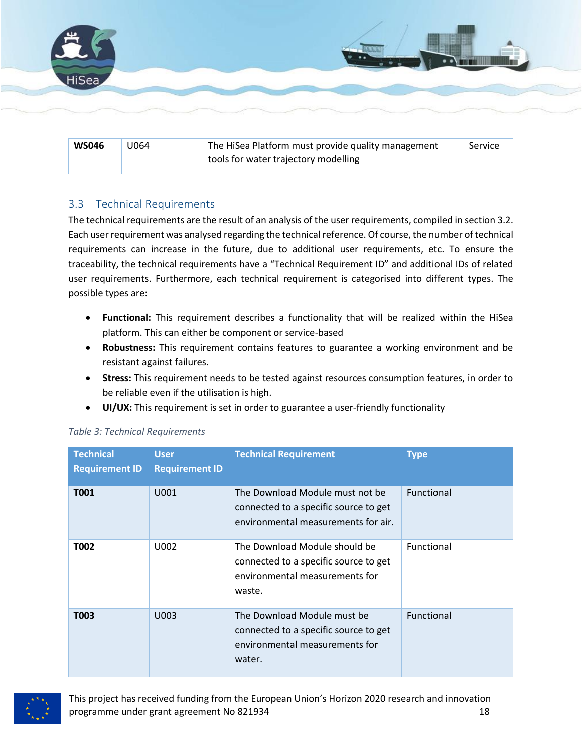

| <b>WS046</b> | U064 | The HiSea Platform must provide quality management | Service |
|--------------|------|----------------------------------------------------|---------|
|              |      | tools for water trajectory modelling               |         |

#### <span id="page-17-0"></span>3.3 Technical Requirements

The technical requirements are the result of an analysis of the user requirements, compiled in sectio[n 3.2.](#page-12-0) Each user requirement was analysed regarding the technical reference. Of course, the number of technical requirements can increase in the future, due to additional user requirements, etc. To ensure the traceability, the technical requirements have a "Technical Requirement ID" and additional IDs of related user requirements. Furthermore, each technical requirement is categorised into different types. The possible types are:

- **Functional:** This requirement describes a functionality that will be realized within the HiSea platform. This can either be component or service-based
- **Robustness:** This requirement contains features to guarantee a working environment and be resistant against failures.
- **Stress:** This requirement needs to be tested against resources consumption features, in order to be reliable even if the utilisation is high.
- **UI/UX:** This requirement is set in order to guarantee a user-friendly functionality

| <b>Technical</b><br><b>Requirement ID</b> | <b>User</b><br><b>Requirement ID</b> | <b>Technical Requirement</b>                                                                                       | <b>Type</b> |
|-------------------------------------------|--------------------------------------|--------------------------------------------------------------------------------------------------------------------|-------------|
| T001                                      | U001                                 | The Download Module must not be<br>connected to a specific source to get<br>environmental measurements for air.    | Functional  |
| T002                                      | U002                                 | The Download Module should be<br>connected to a specific source to get<br>environmental measurements for<br>waste. | Functional  |
| T003                                      | U003                                 | The Download Module must be<br>connected to a specific source to get<br>environmental measurements for<br>water.   | Functional  |

#### *Table 3: Technical Requirements*

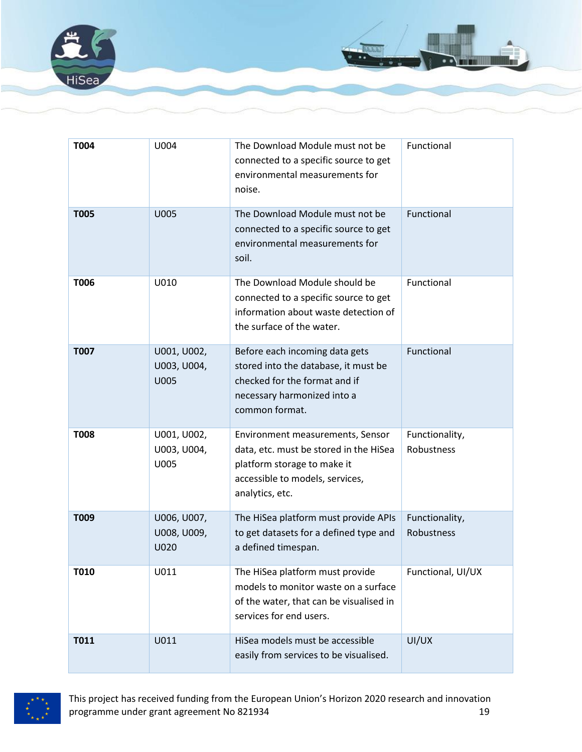

| T004        | U004                                      | The Download Module must not be<br>connected to a specific source to get<br>environmental measurements for<br>noise.                                            | Functional                   |
|-------------|-------------------------------------------|-----------------------------------------------------------------------------------------------------------------------------------------------------------------|------------------------------|
| <b>T005</b> | <b>U005</b>                               | The Download Module must not be<br>connected to a specific source to get<br>environmental measurements for<br>soil.                                             | Functional                   |
| T006        | U010                                      | The Download Module should be<br>connected to a specific source to get<br>information about waste detection of<br>the surface of the water.                     | Functional                   |
| <b>T007</b> | U001, U002,<br>U003, U004,<br><b>U005</b> | Before each incoming data gets<br>stored into the database, it must be<br>checked for the format and if<br>necessary harmonized into a<br>common format.        | Functional                   |
| <b>T008</b> | U001, U002,<br>U003, U004,<br>U005        | Environment measurements, Sensor<br>data, etc. must be stored in the HiSea<br>platform storage to make it<br>accessible to models, services,<br>analytics, etc. | Functionality,<br>Robustness |
| T009        | U006, U007,<br>U008, U009,<br>U020        | The HiSea platform must provide APIs<br>to get datasets for a defined type and<br>a defined timespan.                                                           | Functionality,<br>Robustness |
| T010        | U011                                      | The HiSea platform must provide<br>models to monitor waste on a surface<br>of the water, that can be visualised in<br>services for end users.                   | Functional, UI/UX            |
| <b>T011</b> | U011                                      | HiSea models must be accessible<br>easily from services to be visualised.                                                                                       | UI/UX                        |

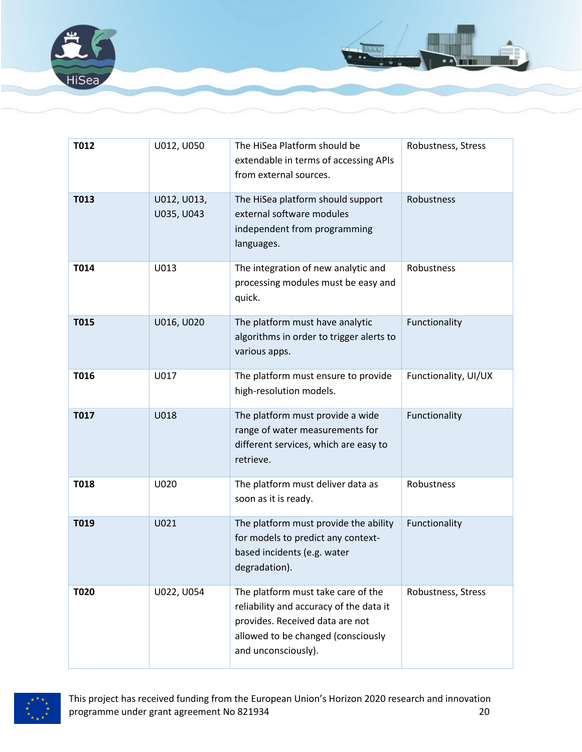

| T012        | U012, U050                | The HiSea Platform should be<br>extendable in terms of accessing APIs<br>from external sources.                                                                               | Robustness, Stress   |
|-------------|---------------------------|-------------------------------------------------------------------------------------------------------------------------------------------------------------------------------|----------------------|
| T013        | U012, U013,<br>U035, U043 | The HiSea platform should support<br>external software modules<br>independent from programming<br>languages.                                                                  | Robustness           |
| T014        | U013                      | The integration of new analytic and<br>processing modules must be easy and<br>quick.                                                                                          | Robustness           |
| <b>T015</b> | U016, U020                | The platform must have analytic<br>algorithms in order to trigger alerts to<br>various apps.                                                                                  | Functionality        |
| T016        | U017                      | The platform must ensure to provide<br>high-resolution models.                                                                                                                | Functionality, UI/UX |
| <b>T017</b> | <b>U018</b>               | The platform must provide a wide<br>range of water measurements for<br>different services, which are easy to<br>retrieve.                                                     | Functionality        |
| <b>T018</b> | U020                      | The platform must deliver data as<br>soon as it is ready.                                                                                                                     | Robustness           |
| T019        | U021                      | The platform must provide the ability<br>for models to predict any context-<br>based incidents (e.g. water<br>degradation).                                                   | Functionality        |
| T020        | U022, U054                | The platform must take care of the<br>reliability and accuracy of the data it<br>provides. Received data are not<br>allowed to be changed (consciously<br>and unconsciously). | Robustness, Stress   |

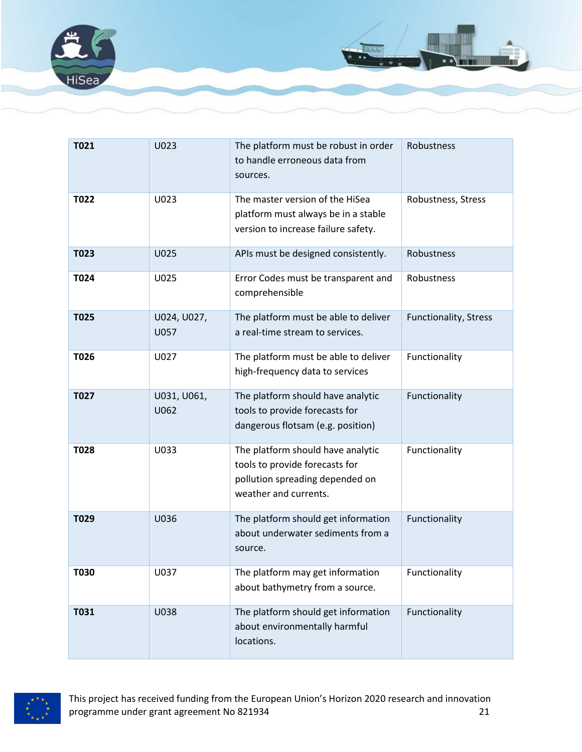

| T021        | U023                | The platform must be robust in order<br>to handle erroneous data from<br>sources.                                               | Robustness            |
|-------------|---------------------|---------------------------------------------------------------------------------------------------------------------------------|-----------------------|
| T022        | U023                | The master version of the HiSea<br>platform must always be in a stable<br>version to increase failure safety.                   | Robustness, Stress    |
| T023        | U025                | APIs must be designed consistently.                                                                                             | <b>Robustness</b>     |
| T024        | U025                | Error Codes must be transparent and<br>comprehensible                                                                           | Robustness            |
| <b>T025</b> | U024, U027,<br>U057 | The platform must be able to deliver<br>a real-time stream to services.                                                         | Functionality, Stress |
| T026        | U027                | The platform must be able to deliver<br>high-frequency data to services                                                         | Functionality         |
| T027        | U031, U061,<br>U062 | The platform should have analytic<br>tools to provide forecasts for<br>dangerous flotsam (e.g. position)                        | Functionality         |
| T028        | U033                | The platform should have analytic<br>tools to provide forecasts for<br>pollution spreading depended on<br>weather and currents. | Functionality         |
| T029        | U036                | The platform should get information<br>about underwater sediments from a<br>source.                                             | Functionality         |
| <b>T030</b> | U037                | The platform may get information<br>about bathymetry from a source.                                                             | Functionality         |
| <b>T031</b> | U038                | The platform should get information<br>about environmentally harmful<br>locations.                                              | Functionality         |

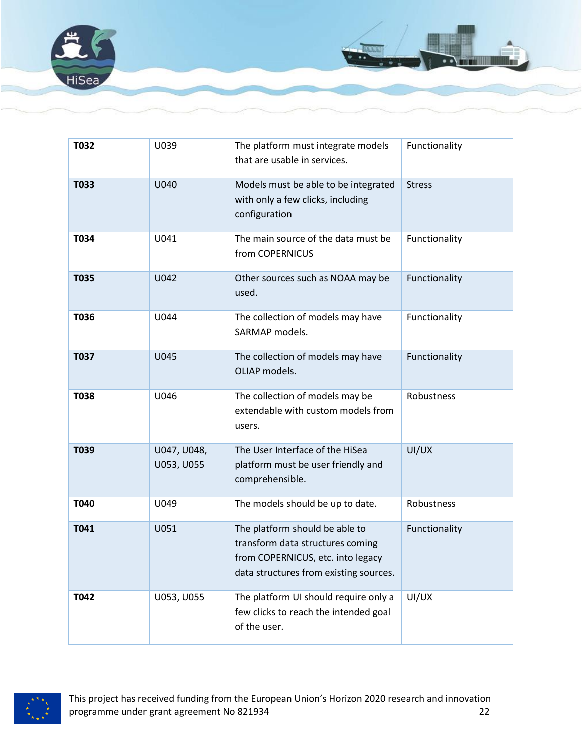

| T032        | U039                      | The platform must integrate models<br>that are usable in services.                                                                                | Functionality |
|-------------|---------------------------|---------------------------------------------------------------------------------------------------------------------------------------------------|---------------|
| T033        | U040                      | Models must be able to be integrated<br>with only a few clicks, including<br>configuration                                                        | <b>Stress</b> |
| T034        | U041                      | The main source of the data must be<br>from COPERNICUS                                                                                            | Functionality |
| <b>T035</b> | U042                      | Other sources such as NOAA may be<br>used.                                                                                                        | Functionality |
| T036        | U044                      | The collection of models may have<br>SARMAP models.                                                                                               | Functionality |
| T037        | U045                      | The collection of models may have<br>OLIAP models.                                                                                                | Functionality |
| <b>T038</b> | U046                      | The collection of models may be<br>extendable with custom models from<br>users.                                                                   | Robustness    |
| T039        | U047, U048,<br>U053, U055 | The User Interface of the HiSea<br>platform must be user friendly and<br>comprehensible.                                                          | UI/UX         |
| T040        | U049                      | The models should be up to date.                                                                                                                  | Robustness    |
| T041        | U051                      | The platform should be able to<br>transform data structures coming<br>from COPERNICUS, etc. into legacy<br>data structures from existing sources. | Functionality |
| T042        | U053, U055                | The platform UI should require only a<br>few clicks to reach the intended goal<br>of the user.                                                    | UI/UX         |

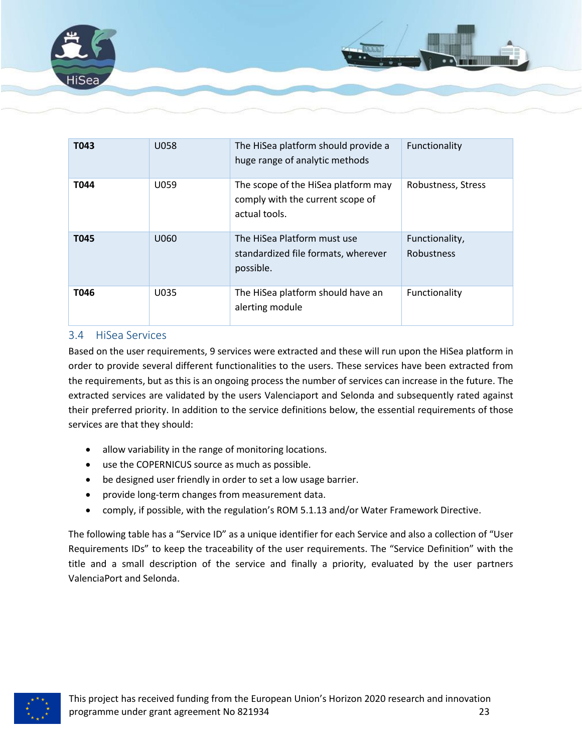

| T043 | <b>U058</b> | The HiSea platform should provide a<br>huge range of analytic methods                    | Functionality                       |
|------|-------------|------------------------------------------------------------------------------------------|-------------------------------------|
| T044 | U059        | The scope of the HiSea platform may<br>comply with the current scope of<br>actual tools. | Robustness, Stress                  |
| T045 | U060        | The HiSea Platform must use<br>standardized file formats, wherever<br>possible.          | Functionality,<br><b>Robustness</b> |
| T046 | U035        | The HiSea platform should have an<br>alerting module                                     | Functionality                       |

#### <span id="page-22-0"></span>3.4 HiSea Services

Based on the user requirements, 9 services were extracted and these will run upon the HiSea platform in order to provide several different functionalities to the users. These services have been extracted from the requirements, but as this is an ongoing process the number of services can increase in the future. The extracted services are validated by the users Valenciaport and Selonda and subsequently rated against their preferred priority. In addition to the service definitions below, the essential requirements of those services are that they should:

- allow variability in the range of monitoring locations.
- use the COPERNICUS source as much as possible.
- be designed user friendly in order to set a low usage barrier.
- provide long-term changes from measurement data.
- comply, if possible, with the regulation's ROM 5.1.13 and/or Water Framework Directive.

The following table has a "Service ID" as a unique identifier for each Service and also a collection of "User Requirements IDs" to keep the traceability of the user requirements. The "Service Definition" with the title and a small description of the service and finally a priority, evaluated by the user partners ValenciaPort and Selonda.

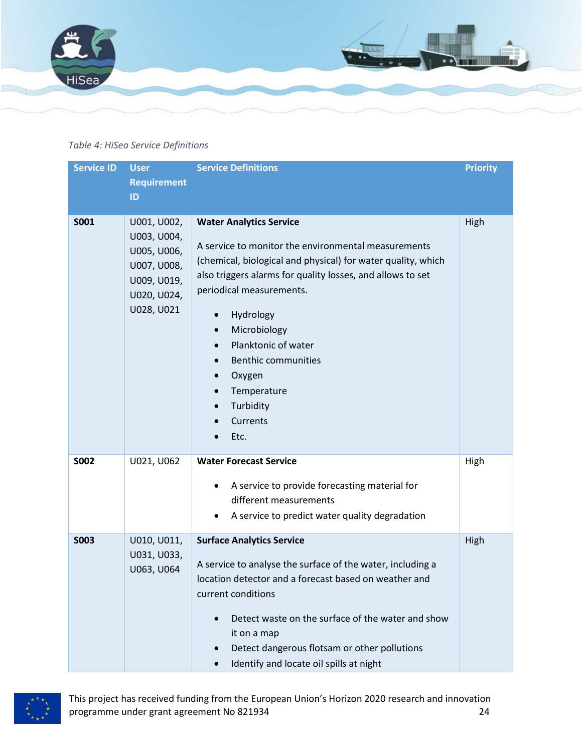

#### *Table 4: HiSea Service Definitions*

| <b>Service ID</b> | <b>User</b><br><b>Requirement</b><br>ID                                                              | <b>Service Definitions</b>                                                                                                                                                                                                                                                                                                                                                                                                                                                | <b>Priority</b> |
|-------------------|------------------------------------------------------------------------------------------------------|---------------------------------------------------------------------------------------------------------------------------------------------------------------------------------------------------------------------------------------------------------------------------------------------------------------------------------------------------------------------------------------------------------------------------------------------------------------------------|-----------------|
| <b>S001</b>       | U001, U002,<br>U003, U004,<br>U005, U006,<br>U007, U008,<br>U009, U019,<br>U020, U024,<br>U028, U021 | <b>Water Analytics Service</b><br>A service to monitor the environmental measurements<br>(chemical, biological and physical) for water quality, which<br>also triggers alarms for quality losses, and allows to set<br>periodical measurements.<br>Hydrology<br>$\bullet$<br>Microbiology<br>$\bullet$<br>Planktonic of water<br><b>Benthic communities</b><br>$\bullet$<br>Oxygen<br>$\bullet$<br>Temperature<br>Turbidity<br>$\bullet$<br>Currents<br>$\bullet$<br>Etc. | High            |
| <b>SO02</b>       | U021, U062                                                                                           | <b>Water Forecast Service</b><br>A service to provide forecasting material for<br>different measurements<br>A service to predict water quality degradation<br>٠                                                                                                                                                                                                                                                                                                           | High            |
| <b>SO03</b>       | U010, U011,<br>U031, U033,<br>U063, U064                                                             | <b>Surface Analytics Service</b><br>A service to analyse the surface of the water, including a<br>location detector and a forecast based on weather and<br>current conditions<br>Detect waste on the surface of the water and show<br>it on a map<br>Detect dangerous flotsam or other pollutions<br>$\bullet$<br>Identify and locate oil spills at night<br>$\bullet$                                                                                                    | High            |

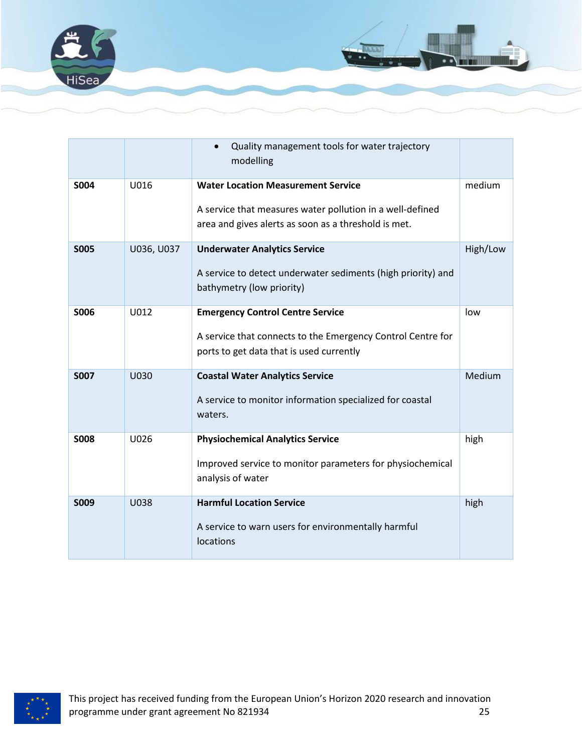

|             |             | Quality management tools for water trajectory<br>modelling                                                                                                     |          |
|-------------|-------------|----------------------------------------------------------------------------------------------------------------------------------------------------------------|----------|
| <b>S004</b> | U016        | <b>Water Location Measurement Service</b><br>A service that measures water pollution in a well-defined<br>area and gives alerts as soon as a threshold is met. | medium   |
| <b>SO05</b> | U036, U037  | <b>Underwater Analytics Service</b><br>A service to detect underwater sediments (high priority) and<br>bathymetry (low priority)                               | High/Low |
| <b>SOO6</b> | U012        | <b>Emergency Control Centre Service</b><br>A service that connects to the Emergency Control Centre for<br>ports to get data that is used currently             | low      |
| <b>S007</b> | <b>U030</b> | <b>Coastal Water Analytics Service</b><br>A service to monitor information specialized for coastal<br>waters.                                                  | Medium   |
| <b>S008</b> | U026        | <b>Physiochemical Analytics Service</b><br>Improved service to monitor parameters for physiochemical<br>analysis of water                                      | high     |
| <b>S009</b> | <b>U038</b> | <b>Harmful Location Service</b><br>A service to warn users for environmentally harmful<br>locations                                                            | high     |